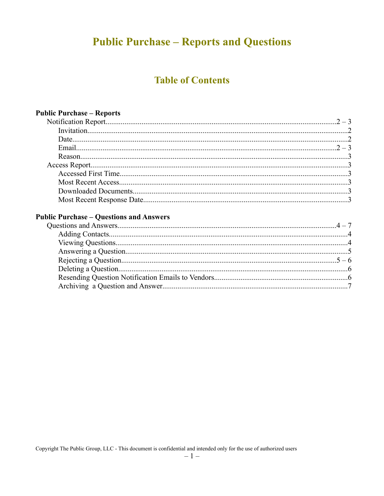# **Public Purchase - Reports and Questions**

### **Table of Contents**

| <b>Public Purchase - Reports</b> |  |
|----------------------------------|--|
|                                  |  |
|                                  |  |
|                                  |  |
|                                  |  |
|                                  |  |
|                                  |  |
|                                  |  |
|                                  |  |
|                                  |  |
|                                  |  |

#### **Public Purchase - Questions and Answers**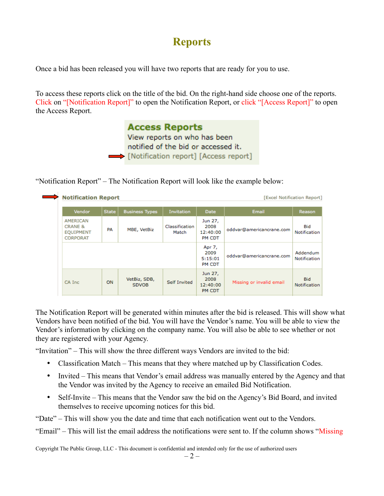# **Reports**

Once a bid has been released you will have two reports that are ready for you to use.

To access these reports click on the title of the bid. On the right-hand side choose one of the reports. Click on "[Notification Report]" to open the Notification Report, or click "[Access Report]" to open the Access Report.

> **Access Reports** View reports on who has been notified of the bid or accessed it. Notification report] [Access report]

"Notification Report" – The Notification Report will look like the example below:

|                                                                       | <b>Notification Report</b><br>[Excel Notification Report] |                              |                         |                                       |                          |                                 |
|-----------------------------------------------------------------------|-----------------------------------------------------------|------------------------------|-------------------------|---------------------------------------|--------------------------|---------------------------------|
| Vendor                                                                | <b>State</b>                                              | <b>Business Types</b>        | <b>Invitation</b>       | <b>Date</b>                           | Email                    | Reason                          |
| AMERICAN<br><b>CRANE &amp;</b><br><b>EQUIPMENT</b><br><b>CORPORAT</b> | PA                                                        | MBE, VetBiz                  | Classification<br>Match | Jun 27,<br>2008<br>12:40:00<br>PM CDT | oddvar@americancrane.com | Bid<br>Notification             |
|                                                                       |                                                           |                              |                         | Apr 7,<br>2009<br>5:15:01<br>PM CDT   | oddvar@americancrane.com | Addendum<br><b>Notification</b> |
| CA Inc.                                                               | ON                                                        | VetBiz, SDB,<br><b>SDVOB</b> | <b>Self Invited</b>     | Jun 27,<br>2008<br>12:40:00<br>PM CDT | Missing or invalid email | <b>Bid</b><br>Notification      |

The Notification Report will be generated within minutes after the bid is released. This will show what Vendors have been notified of the bid. You will have the Vendor's name. You will be able to view the Vendor's information by clicking on the company name. You will also be able to see whether or not they are registered with your Agency.

"Invitation" – This will show the three different ways Vendors are invited to the bid:

- Classification Match This means that they where matched up by Classification Codes.
- Invited This means that Vendor's email address was manually entered by the Agency and that the Vendor was invited by the Agency to receive an emailed Bid Notification.
- Self-Invite This means that the Vendor saw the bid on the Agency's Bid Board, and invited themselves to receive upcoming notices for this bid.

"Date" – This will show you the date and time that each notification went out to the Vendors.

"Email" – This will list the email address the notifications were sent to. If the column shows "Missing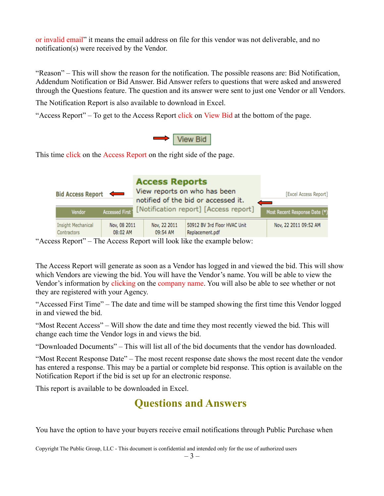or invalid email" it means the email address on file for this vendor was not deliverable, and no notification(s) were received by the Vendor.

"Reason" – This will show the reason for the notification. The possible reasons are: Bid Notification, Addendum Notification or Bid Answer. Bid Answer refers to questions that were asked and answered through the Questions feature. The question and its answer were sent to just one Vendor or all Vendors.

The Notification Report is also available to download in Excel.

"Access Report" – To get to the Access Report click on View Bid at the bottom of the page.



This time click on the Access Report on the right side of the page.

| <b>Bid Access Report</b>                 | $\leftarrow$             | <b>Access Reports</b><br>View reports on who has been<br>notified of the bid or accessed it. | [Excel Access Report]<br>$\qquad \qquad$        |                               |  |
|------------------------------------------|--------------------------|----------------------------------------------------------------------------------------------|-------------------------------------------------|-------------------------------|--|
| Vendor                                   | <b>Accessed First</b>    |                                                                                              | [Notification report] [Access report]           | Most Recent Response Date (*) |  |
| <b>Insight Mechanical</b><br>Contractors | Nov, 08 2011<br>08:02 AM | Nov, 22 2011<br>09:54 AM                                                                     | 50912 BV 3rd Floor HVAC Unit<br>Replacement.pdf | Nov, 22 2011 09:52 AM         |  |

"Access Report" – The Access Report will look like the example below:

The Access Report will generate as soon as a Vendor has logged in and viewed the bid. This will show which Vendors are viewing the bid. You will have the Vendor's name. You will be able to view the Vendor's information by clicking on the company name. You will also be able to see whether or not they are registered with your Agency.

"Accessed First Time" – The date and time will be stamped showing the first time this Vendor logged in and viewed the bid.

"Most Recent Access" – Will show the date and time they most recently viewed the bid. This will change each time the Vendor logs in and views the bid.

"Downloaded Documents" – This will list all of the bid documents that the vendor has downloaded.

"Most Recent Response Date" – The most recent response date shows the most recent date the vendor has entered a response. This may be a partial or complete bid response. This option is available on the Notification Report if the bid is set up for an electronic response.

This report is available to be downloaded in Excel.

# **Questions and Answers**

You have the option to have your buyers receive email notifications through Public Purchase when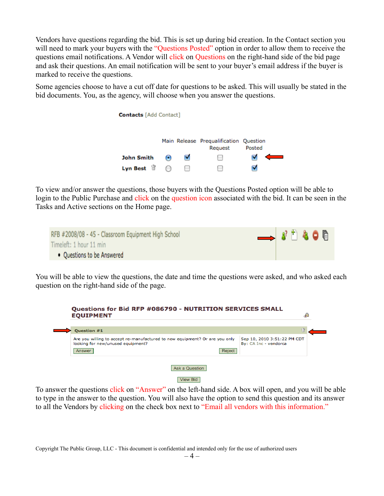Vendors have questions regarding the bid. This is set up during bid creation. In the Contact section you will need to mark your buyers with the "Questions Posted" option in order to allow them to receive the questions email notifications. A Vendor will click on Questions on the right-hand side of the bid page and ask their questions. An email notification will be sent to your buyer's email address if the buyer is marked to receive the questions.

Some agencies choose to have a cut off date for questions to be asked. This will usually be stated in the bid documents. You, as the agency, will choose when you answer the questions.



To view and/or answer the questions, those buyers with the Questions Posted option will be able to login to the Public Purchase and click on the question icon associated with the bid. It can be seen in the Tasks and Active sections on the Home page.

| RFB #2008/08 - 45 - Classroom Equipment High School | $\longrightarrow 3^{\circ}$ |  |  |
|-----------------------------------------------------|-----------------------------|--|--|
| Timeleft: 1 hour 11 min                             |                             |  |  |
| • Questions to be Answered                          |                             |  |  |

You will be able to view the questions, the date and time the questions were asked, and who asked each question on the right-hand side of the page.

| <b>Ouestion #1</b>                |                                                                             |               | 怜                                                    |
|-----------------------------------|-----------------------------------------------------------------------------|---------------|------------------------------------------------------|
| looking for new/unused equipment? | Are you willing to accept re-manufactured to new equipment? Or are you only |               | Sep 10, 2010 3:51:22 PM CDT<br>By: CA Inc - vendorca |
| Answer                            |                                                                             | <b>Reject</b> |                                                      |

To answer the questions click on "Answer" on the left-hand side. A box will open, and you will be able to type in the answer to the question. You will also have the option to send this question and its answer to all the Vendors by clicking on the check box next to "Email all vendors with this information."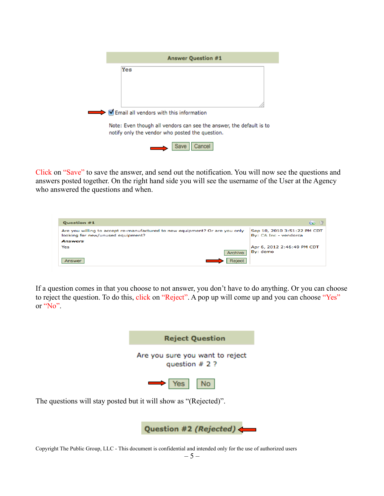| <b>Answer Question #1</b>                                                                                              |
|------------------------------------------------------------------------------------------------------------------------|
| Yes                                                                                                                    |
|                                                                                                                        |
|                                                                                                                        |
|                                                                                                                        |
| Email all vendors with this information                                                                                |
| Note: Even though all vendors can see the answer, the default is to<br>notify only the vendor who posted the question. |
| Cancel<br><b>Save</b>                                                                                                  |

Click on "Save" to save the answer, and send out the notification. You will now see the questions and answers posted together. On the right hand side you will see the username of the User at the Agency who answered the questions and when.

| <b>Question #1</b>                                                                                               |         | $60^{\circ}$<br>倍                                    |
|------------------------------------------------------------------------------------------------------------------|---------|------------------------------------------------------|
| Are you willing to accept re-manufactured to new equipment? Or are you only<br>looking for new/unused equipment? |         | Sep 10, 2010 3:51:22 PM CDT<br>By: CA Inc - vendorca |
| <b>Answers</b>                                                                                                   |         |                                                      |
| Yes                                                                                                              |         | Apr 6, 2012 2:46:49 PM CDT                           |
|                                                                                                                  | Archive | By: demo                                             |
| Answer                                                                                                           | Reject  |                                                      |

If a question comes in that you choose to not answer, you don't have to do anything. Or you can choose to reject the question. To do this, click on "Reject". A pop up will come up and you can choose "Yes" or "No".



The questions will stay posted but it will show as "(Rejected)".

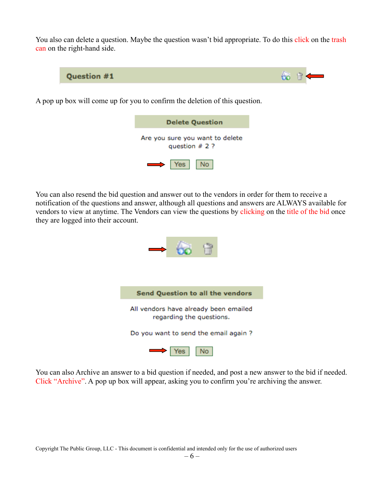You also can delete a question. Maybe the question wasn't bid appropriate. To do this click on the trash can on the right-hand side.



A pop up box will come up for you to confirm the deletion of this question.

| <b>Delete Question</b>                              |  |  |  |  |
|-----------------------------------------------------|--|--|--|--|
| Are you sure you want to delete<br>question $# 2 ?$ |  |  |  |  |
| $\rightarrow$ Yes   No                              |  |  |  |  |

You can also resend the bid question and answer out to the vendors in order for them to receive a notification of the questions and answer, although all questions and answers are ALWAYS available for vendors to view at anytime. The Vendors can view the questions by clicking on the title of the bid once they are logged into their account.



You can also Archive an answer to a bid question if needed, and post a new answer to the bid if needed. Click "Archive". A pop up box will appear, asking you to confirm you're archiving the answer.